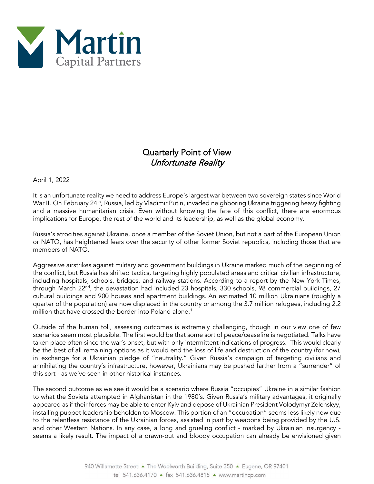

## Quarterly Point of View Unfortunate Reality

April 1, 2022

It is an unfortunate reality we need to address Europe's largest war between two sovereign states since World War II. On February 24<sup>th</sup>, Russia, led by Vladimir Putin, invaded neighboring Ukraine triggering heavy fighting and a massive humanitarian crisis. Even without knowing the fate of this conflict, there are enormous implications for Europe, the rest of the world and its leadership, as well as the global economy.

Russia's atrocities against Ukraine, once a member of the Soviet Union, but not a part of the European Union or NATO, has heightened fears over the security of other former Soviet republics, including those that are members of NATO.

Aggressive airstrikes against military and government buildings in Ukraine marked much of the beginning of the conflict, but Russia has shifted tactics, targeting highly populated areas and critical civilian infrastructure, including hospitals, schools, bridges, and railway stations. According to a report by the New York Times, through March 22<sup>nd</sup>, the devastation had included 23 hospitals, 330 schools, 98 commercial buildings, 27 cultural buildings and 900 houses and apartment buildings. An estimated 10 million Ukrainians (roughly a quarter of the population) are now displaced in the country or among the 3.7 million refugees, including 2.2 million that have crossed the border into Poland alone.<sup>1</sup>

Outside of the human toll, assessing outcomes is extremely challenging, though in our view one of few scenarios seem most plausible. The first would be that some sort of peace/ceasefire is negotiated. Talks have taken place often since the war's onset, but with only intermittent indications of progress. This would clearly be the best of all remaining options as it would end the loss of life and destruction of the country (for now), in exchange for a Ukrainian pledge of "neutrality." Given Russia's campaign of targeting civilians and annihilating the country's infrastructure, however, Ukrainians may be pushed farther from a "surrender" of this sort - as we've seen in other historical instances.

The second outcome as we see it would be a scenario where Russia "occupies" Ukraine in a similar fashion to what the Soviets attempted in Afghanistan in the 1980's. Given Russia's military advantages, it originally appeared as if their forces may be able to enter Kyiv and depose of Ukrainian President Volodymyr Zelenskyy, installing puppet leadership beholden to Moscow. This portion of an "occupation" seems less likely now due to the relentless resistance of the Ukrainian forces, assisted in part by weapons being provided by the U.S. and other Western Nations. In any case, a long and grueling conflict - marked by Ukrainian insurgency seems a likely result. The impact of a drawn-out and bloody occupation can already be envisioned given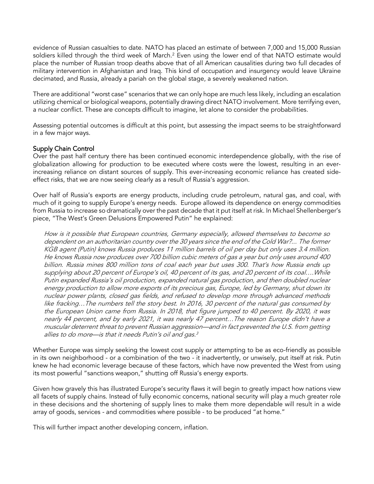evidence of Russian casualties to date. NATO has placed an estimate of between 7,000 and 15,000 Russian soldiers killed through the third week of March. $^2$  Even using the lower end of that NATO estimate would place the number of Russian troop deaths above that of all American causalities during two full decades of military intervention in Afghanistan and Iraq. This kind of occupation and insurgency would leave Ukraine decimated, and Russia, already a pariah on the global stage, a severely weakened nation.

There are additional "worst case" scenarios that we can only hope are much less likely, including an escalation utilizing chemical or biological weapons, potentially drawing direct NATO involvement. More terrifying even, a nuclear conflict. These are concepts difficult to imagine, let alone to consider the probabilities.

Assessing potential outcomes is difficult at this point, but assessing the impact seems to be straightforward in a few major ways.

## Supply Chain Control

Over the past half century there has been continued economic interdependence globally, with the rise of globalization allowing for production to be executed where costs were the lowest, resulting in an everincreasing reliance on distant sources of supply. This ever-increasing economic reliance has created sideeffect risks, that we are now seeing clearly as a result of Russia's aggression.

Over half of Russia's exports are energy products, including crude petroleum, natural gas, and coal, with much of it going to supply Europe's energy needs. Europe allowed its dependence on energy commodities from Russia to increase so dramatically over the past decade that it put itself at risk. In Michael Shellenberger's piece, "The West's Green Delusions Empowered Putin" he explained:

How is it possible that European countries, Germany especially, allowed themselves to become so dependent on an authoritarian country over the 30 years since the end of the Cold War?... The former KGB agent (Putin) knows Russia produces 11 million barrels of oil per day but only uses 3.4 million. He knows Russia now produces over 700 billion cubic meters of gas a year but only uses around 400 billion. Russia mines 800 million tons of coal each year but uses 300. That's how Russia ends up supplying about 20 percent of Europe's oil, 40 percent of its gas, and 20 percent of its coal….While Putin expanded Russia's oil production, expanded natural gas production, and then doubled nuclear energy production to allow more exports of its precious gas, Europe, led by Germany, shut down its nuclear power plants, closed gas fields, and refused to develop more through advanced methods like fracking…The numbers tell the story best. In 2016, 30 percent of the natural gas consumed by the European Union came from Russia. In 2018, that figure jumped to 40 percent. By 2020, it was nearly 44 percent, and by early 2021, it was nearly 47 percent…The reason Europe didn't have a muscular deterrent threat to prevent Russian aggression—and in fact prevented the U.S. from getting allies to do more—is that it needs Putin's oil and gas. $3$ 

Whether Europe was simply seeking the lowest cost supply or attempting to be as eco-friendly as possible in its own neighborhood - or a combination of the two - it inadvertently, or unwisely, put itself at risk. Putin knew he had economic leverage because of these factors, which have now prevented the West from using its most powerful "sanctions weapon," shutting off Russia's energy exports.

Given how gravely this has illustrated Europe's security flaws it will begin to greatly impact how nations view all facets of supply chains. Instead of fully economic concerns, national security will play a much greater role in these decisions and the shortening of supply lines to make them more dependable will result in a wide array of goods, services - and commodities where possible - to be produced "at home."

This will further impact another developing concern, inflation.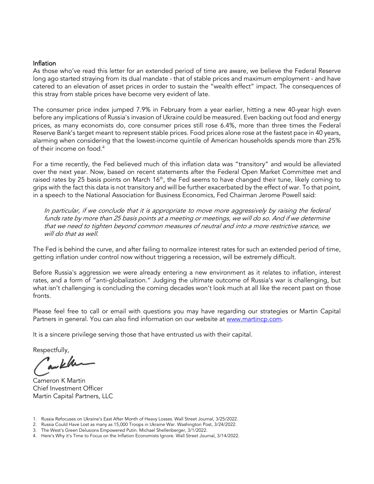## Inflation

As those who've read this letter for an extended period of time are aware, we believe the Federal Reserve long ago started straying from its dual mandate - that of stable prices and maximum employment - and have catered to an elevation of asset prices in order to sustain the "wealth effect" impact. The consequences of this stray from stable prices have become very evident of late.

The consumer price index jumped 7.9% in February from a year earlier, hitting a new 40-year high even before any implications of Russia's invasion of Ukraine could be measured. Even backing out food and energy prices, as many economists do, core consumer prices still rose 6.4%, more than three times the Federal Reserve Bank's target meant to represent stable prices. Food prices alone rose at the fastest pace in 40 years, alarming when considering that the lowest-income quintile of American households spends more than 25% of their income on food.4

For a time recently, the Fed believed much of this inflation data was "transitory" and would be alleviated over the next year. Now, based on recent statements after the Federal Open Market Committee met and raised rates by 25 basis points on March 16<sup>th</sup>, the Fed seems to have changed their tune, likely coming to grips with the fact this data is not transitory and will be further exacerbated by the effect of war. To that point, in a speech to the National Association for Business Economics, Fed Chairman Jerome Powell said:

In particular, if we conclude that it is appropriate to move more aggressively by raising the federal funds rate by more than 25 basis points at a meeting or meetings, we will do so. And if we determine that we need to tighten beyond common measures of neutral and into a more restrictive stance, we will do that as well.

The Fed is behind the curve, and after failing to normalize interest rates for such an extended period of time, getting inflation under control now without triggering a recession, will be extremely difficult.

Before Russia's aggression we were already entering a new environment as it relates to inflation, interest rates, and a form of "anti-globalization." Judging the ultimate outcome of Russia's war is challenging, but what isn't challenging is concluding the coming decades won't look much at all like the recent past on those fronts.

Please feel free to call or email with questions you may have regarding our strategies or Martin Capital Partners in general. You can also find information on our website at [www.martincp.com.](http://www.martincp.com/)

It is a sincere privilege serving those that have entrusted us with their capital.

Respectfully,

awkh

Cameron K Martin Chief Investment Officer Martin Capital Partners, LLC

- 1. Russia Refocuses on Ukraine's East After Month of Heavy Losses. Wall Street Journal, 3/25/2022.
- 2. Russia Could Have Lost as many as 15,000 Troops in Ukraine War. Washington Post, 3/24/2022.

4. Here's Why it's Time to Focus on the Inflation Economists Ignore. Wall Street Journal, 3/14/2022.

<sup>3.</sup> The West's Green Delusions Empowered Putin. Michael Shellenberger, 3/1/2022.